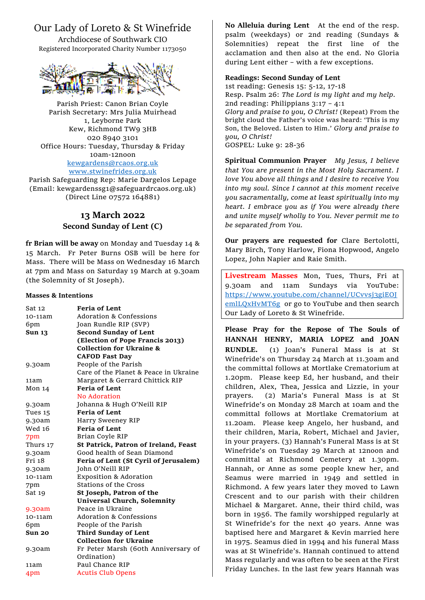# Our Lady of Loreto & St Winefride

Archdiocese of Southwark CIO Registered Incorporated Charity Number 1173050



Parish Priest: Canon Brian Coyle Parish Secretary: Mrs Julia Muirhead 1, Leyborne Park Kew, Richmond TW9 3HB 020 8940 3101 Office Hours: Tuesday, Thursday & Friday 10am-12noon [kewgardens@rcaos.org.uk](mailto:kewgardens@rcaos.org.uk) [www.stwinefrides.org.uk](http://www.stwinefrides.org.uk/)

Parish Safeguarding Rep: Marie Dargelos Lepage (Email: kewgardenssg1@safeguardrcaos.org.uk) (Direct Line 07572 164881)

# **13 March 2022 Second Sunday of Lent (C)**

**fr Brian will be away** on Monday and Tuesday 14 & 15 March. Fr Peter Burns OSB will be here for Mass. There will be Mass on Wednesday 16 March at 7pm and Mass on Saturday 19 March at 9.30am (the Solemnity of St Joseph).

#### **Masses & Intentions**

| Sat 12        | <b>Feria of Lent</b>                  |
|---------------|---------------------------------------|
| 10-11am       | <b>Adoration &amp; Confessions</b>    |
| 6pm           | Joan Rundle RIP (SVP)                 |
| <b>Sun 13</b> | <b>Second Sunday of Lent</b>          |
|               | (Election of Pope Francis 2013)       |
|               | <b>Collection for Ukraine &amp;</b>   |
|               | <b>CAFOD Fast Day</b>                 |
| 9.30am        | People of the Parish                  |
|               | Care of the Planet & Peace in Ukraine |
| 11am          | Margaret & Gerrard Chittick RIP       |
| Mon 14        | <b>Feria of Lent</b>                  |
|               | No Adoration                          |
| 9.30am        | Johanna & Hugh O'Neill RIP            |
| Tues 15       | <b>Feria of Lent</b>                  |
| 9.30am        | Harry Sweeney RIP                     |
| Wed 16        | <b>Feria of Lent</b>                  |
| 7pm           | Brian Coyle RIP                       |
| Thurs 17      | St Patrick, Patron of Ireland, Feast  |
| 9.30am        | Good health of Sean Diamond           |
| Fri 18        | Feria of Lent (St Cyril of Jerusalem) |
| 9.30am        | John O'Neill RIP                      |
| 10-11am       | <b>Exposition &amp; Adoration</b>     |
| 7pm           | <b>Stations of the Cross</b>          |
| Sat 19        | St Joseph, Patron of the              |
|               | <b>Universal Church, Solemnity</b>    |
| 9.30am        | Peace in Ukraine                      |
| 10-11am       | Adoration & Confessions               |
| 6pm           | People of the Parish                  |
| Sun 20        | Third Sunday of Lent                  |
|               | <b>Collection for Ukraine</b>         |
| 9.30am        | Fr Peter Marsh (60th Anniversary of   |
|               | Ordination)                           |
| 11am          | Paul Chance RIP                       |
| 4pm           | <b>Acutis Club Opens</b>              |
|               |                                       |

**No Alleluia during Lent** At the end of the resp. psalm (weekdays) or 2nd reading (Sundays & Solemnities) repeat the first line of the acclamation and then also at the end. No Gloria during Lent either – with a few exceptions.

## **Readings: Second Sunday of Lent**

1st reading: Genesis 15: 5-12, 17-18 Resp. Psalm 26: *The Lord is my light and my help.* 2nd reading: Philippians 3:17 – 4:1 *Glory and praise to you, O Christ!* (Repeat) From the bright cloud the Father's voice was heard: 'This is my Son, the Beloved. Listen to Him.' *Glory and praise to you, O Christ!* GOSPEL: Luke 9: 28-36

**Spiritual Communion Prayer** *My Jesus, I believe that You are present in the Most Holy Sacrament. I love You above all things and I desire to receive You into my soul. Since I cannot at this moment receive you sacramentally, come at least spiritually into my heart. I embrace you as if You were already there and unite myself wholly to You. Never permit me to be separated from You.*

**Our prayers are requested for** Clare Bertolotti, Mary Birch, Tony Harlow, Fiona Hopwood, Angelo Lopez, John Napier and Raie Smith.

**Livestream Masses** Mon, Tues, Thurs, Fri at 9.30am and 11am Sundays via YouTube: [https://www.youtube.com/channel/UCvvsj3giEOJ](https://www.youtube.com/channel/UCvvsj3giEOJemlLQxHvMT6g) [emlLQxHvMT6g](https://www.youtube.com/channel/UCvvsj3giEOJemlLQxHvMT6g) or go to YouTube and then search Our Lady of Loreto & St Winefride.

**Please Pray for the Repose of The Souls of HANNAH HENRY, MARIA LOPEZ and JOAN RUNDLE.** (1) Joan's Funeral Mass is at St Winefride's on Thursday 24 March at 11.30am and the committal follows at Mortlake Crematorium at 1.20pm. Please keep Ed, her husband, and their children, Alex, Thea, Jessica and Lizzie, in your prayers. (2) Maria's Funeral Mass is at St Winefride's on Monday 28 March at 10am and the committal follows at Mortlake Crematorium at 11.20am. Please keep Angelo, her husband, and their children, Maria, Robert, Michael and Javier, in your prayers. (3) Hannah's Funeral Mass is at St Winefride's on Tuesday 29 March at 12noon and committal at Richmond Cemetery at 1.30pm. Hannah, or Anne as some people knew her, and Seamus were married in 1949 and settled in Richmond. A few years later they moved to Lawn Crescent and to our parish with their children Michael & Margaret. Anne, their third child, was born in 1956. The family worshipped regularly at St Winefride's for the next 40 years. Anne was baptised here and Margaret & Kevin married here in 1975. Seamus died in 1994 and his funeral Mass was at St Winefride's. Hannah continued to attend Mass regularly and was often to be seen at the First Friday Lunches. In the last few years Hannah was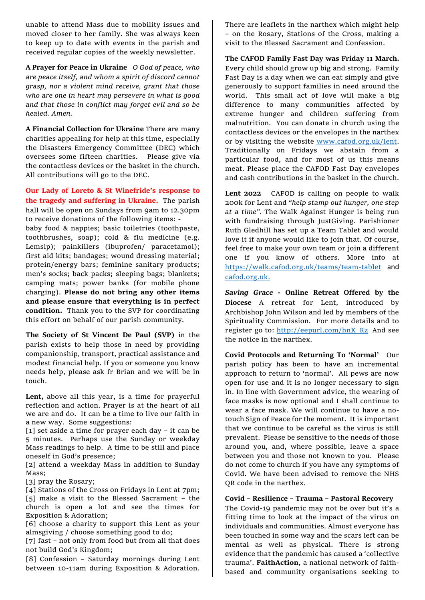unable to attend Mass due to mobility issues and moved closer to her family. She was always keen to keep up to date with events in the parish and received regular copies of the weekly newsletter.

**A Prayer for Peace in Ukraine** *O God of peace, who are peace itself, and whom a spirit of discord cannot grasp, nor a violent mind receive, grant that those who are one in heart may persevere in what is good and that those in conflict may forget evil and so be healed. Amen.* 

**A Financial Collection for Ukraine** There are many charities appealing for help at this time, especially the Disasters Emergency Committee (DEC) which oversees some fifteen charities. Please give via the contactless devices or the basket in the church. All contributions will go to the DEC.

**Our Lady of Loreto & St Winefride's response to the tragedy and suffering in Ukraine.** The parish hall will be open on Sundays from 9am to 12.30pm to receive donations of the following items: baby food & nappies; basic toiletries (toothpaste, toothbrushes, soap); cold & flu medicine (e.g. Lemsip); painkillers (ibuprofen/ paracetamol); first aid kits; bandages; wound dressing material; protein/energy bars; feminine sanitary products; men's socks; back packs; sleeping bags; blankets; camping mats; power banks (for mobile phone charging). **Please do not bring any other items and please ensure that everything is in perfect condition.** Thank you to the SVP for coordinating this effort on behalf of our parish community.

**The Society of St Vincent De Paul (SVP)** in the parish exists to help those in need by providing companionship, transport, practical assistance and modest financial help. If you or someone you know needs help, please ask fr Brian and we will be in touch.

**Lent,** above all this year, is a time for prayerful reflection and action. Prayer is at the heart of all we are and do. It can be a time to live our faith in a new way. Some suggestions:

[1] set aside a time for prayer each day – it can be 5 minutes. Perhaps use the Sunday or weekday Mass readings to help. A time to be still and place oneself in God's presence;

[2] attend a weekday Mass in addition to Sunday Mass;

[3] pray the Rosary;

[4] Stations of the Cross on Fridays in Lent at 7pm; [5] make a visit to the Blessed Sacrament – the church is open a lot and see the times for Exposition & Adoration;

[6] choose a charity to support this Lent as your almsgiving / choose something good to do;

[7] fast - not only from food but from all that does not build God's Kingdom;

[8] Confession – Saturday mornings during Lent between 10-11am during Exposition & Adoration.

There are leaflets in the narthex which might help – on the Rosary, Stations of the Cross, making a visit to the Blessed Sacrament and Confession.

**The CAFOD Family Fast Day was Friday 11 March.**  Every child should grow up big and strong. Family Fast Day is a day when we can eat simply and give generously to support families in need around the world. This small act of love will make a big difference to many communities affected by extreme hunger and children suffering from malnutrition. You can donate in church using the contactless devices or the envelopes in the narthex or by visiting the website [www.cafod.org.uk/lent.](http://www.cafod.org.uk/lent) Traditionally on Fridays we abstain from a particular food, and for most of us this means meat. Please place the CAFOD Fast Day envelopes and cash contributions in the basket in the church.

**Lent 2022** CAFOD is calling on people to walk 200k for Lent and *"help stamp out hunger, one step at a time".* The Walk Against Hunger is being run with fundraising through JustGiving. Parishioner Ruth Gledhill has set up a Team Tablet and would love it if anyone would like to join that. Of course, feel free to make your own team or join a different one if you know of others. More info at <https://walk.cafod.org.uk/teams/team-tablet> and [cafod.org.uk.](http://cafod.org.uk/)

*Saving Grace* **- Online Retreat Offered by the Diocese** A retreat for Lent, introduced by Archbishop John Wilson and led by members of the Spirituality Commission. For more details and to register go to: [http://eepurl.com/hnK\\_Rz](http://eepurl.com/hnK_Rz) And see the notice in the narthex.

**Covid Protocols and Returning To 'Normal'** Our parish policy has been to have an incremental approach to return to 'normal'. All pews are now open for use and it is no longer necessary to sign in. In line with Government advice, the wearing of face masks is now optional and I shall continue to wear a face mask. We will continue to have a notouch Sign of Peace for the moment. It is important that we continue to be careful as the virus is still prevalent. Please be sensitive to the needs of those around you, and, where possible, leave a space between you and those not known to you. Please do not come to church if you have any symptoms of Covid. We have been advised to remove the NHS QR code in the narthex.

#### **Covid – Resilience – Trauma – Pastoral Recovery**

The Covid-19 pandemic may not be over but it's a fitting time to look at the impact of the virus on individuals and communities. Almost everyone has been touched in some way and the scars left can be mental as well as physical. There is strong evidence that the pandemic has caused a 'collective trauma'. **FaithAction**, a national network of faithbased and community organisations seeking to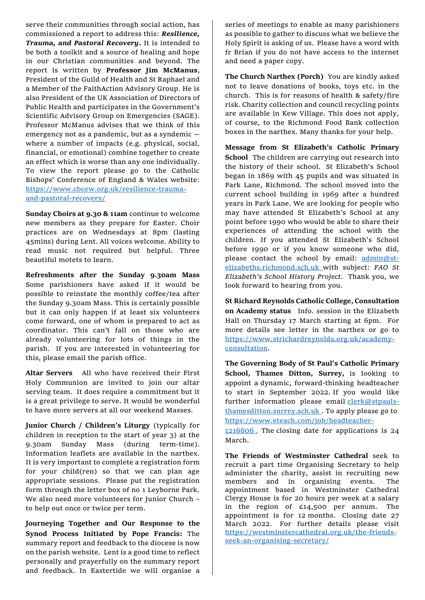serve their communities through social action, has commissioned a report to address this: *Resilience, Trauma, and Pastoral Recovery***.** It is intended to be both a toolkit and a source of healing and hope in our Christian communities and beyond. The report is written by **Professor Jim McManus**, President of the Guild of Health and St Raphael and a Member of the FaithAction Advisory Group. He is also President of the UK Association of Directors of Public Health and participates in the Government's Scientific Advisory Group on Emergencies (SAGE). Professor McManus advises that we think of this emergency not as a pandemic, but as a syndemic where a number of impacts (e.g. physical, social, financial, or emotional) combine together to create an effect which is worse than any one individually. To view the report please go to the Catholic Bishops' Conference of England & Wales website: [https://www.cbcew.org.uk/resilience-trauma](https://www.cbcew.org.uk/resilience-trauma-and-pastoral-recovery/)[and-pastoral-recovery/](https://www.cbcew.org.uk/resilience-trauma-and-pastoral-recovery/)

**Sunday Choirs at 9.30 & 11am** continue to welcome new members as they prepare for Easter. Choir practices are on Wednesdays at 8pm (lasting 45mins) during Lent. All voices welcome. Ability to read music not required but helpful. Three beautiful motets to learn.

**Refreshments after the Sunday 9.30am Mass**  Some parishioners have asked if it would be possible to reinstate the monthly coffee/tea after the Sunday 9.30am Mass. This is certainly possible but it can only happen if at least six volunteers come forward, one of whom is prepared to act as coordinator. This can't fall on those who are already volunteering for lots of things in the parish. If you are interested in volunteering for this, please email the parish office.

**Altar Servers** All who have received their First Holy Communion are invited to join our altar serving team. It does require a commitment but it is a great privilege to serve. It would be wonderful to have more servers at all our weekend Masses.

**Junior Church / Children's Liturgy** (typically for children in reception to the start of year 3) at the 9.30am Sunday Mass (during term-time). Information leaflets are available in the narthex. It is very important to complete a registration form for your child(ren) so that we can plan age appropriate sessions. Please put the registration form through the letter box of no 1 Leyborne Park. We also need more volunteers for Junior Church – to help out once or twice per term.

**Journeying Together and Our Response to the Synod Process Initiated by Pope Francis:** The summary report and feedback to the diocese is now on the parish website. Lent is a good time to reflect personally and prayerfully on the summary report and feedback. In Eastertide we will organise a

series of meetings to enable as many parishioners as possible to gather to discuss what we believe the Holy Spirit is asking of us.Please have a word with fr Brian if you do not have access to the internet and need a paper copy.

**The Church Narthex (Porch)** You are kindly asked not to leave donations of books, toys etc. in the church. This is for reasons of health & safety/fire risk. Charity collection and council recycling points are available in Kew Village. This does not apply, of course, to the Richmond Food Bank collection boxes in the narthex. Many thanks for your help.

**Message from St Elizabeth's Catholic Primary School** The children are carrying out research into the history of their school. St Elizabeth's School began in 1869 with 45 pupils and was situated in Park Lane, Richmond. The school moved into the current school building in 1969 after a hundred years in Park Lane. We are looking for people who may have attended St Elizabeth's School at any point before 1990 who would be able to share their experiences of attending the school with the children. If you attended St Elizabeth's School before 1990 or if you know someone who did, please contact the school by email: [admin@st](mailto:admin@st-elizabeths.richmond.sch.uk)[elizabeths.richmond.sch.uk](mailto:admin@st-elizabeths.richmond.sch.uk) with subject: *FAO St Elizabeth's School History Project.* Thank you, we look forward to hearing from you.

**St Richard Reynolds Catholic College, Consultation on Academy status** Info. session in the Elizabeth Hall on Thursday 17 March starting at 6pm. For more details see letter in the narthex or go to [https://www.strichardreynolds.org.uk/academy](https://www.strichardreynolds.org.uk/academy-consultation)[consultation.](https://www.strichardreynolds.org.uk/academy-consultation)

**The Governing Body of St [Paul's Catholic Primary](https://www.stpauls-thamesditton.surrey.sch.uk/)  [School, Thames Ditton,](https://www.stpauls-thamesditton.surrey.sch.uk/) Surrey,** is looking to appoint a dynamic, forward-thinking headteacher to start in September 2022. If you would like further information please email *[clerk@stpauls](mailto:clerk@stpauls-thamesditton.surrey.sch.uk)*[thamesditton.surrey.sch.uk](mailto:clerk@stpauls-thamesditton.surrey.sch.uk) . To apply please go to [https://www.eteach.com/job/headteacher-](https://www.eteach.com/job/headteacher-1216606 )

[1216606](https://www.eteach.com/job/headteacher-1216606 ). The closing date for applications is 24 March.

**The Friends of Westminster Cathedral** seek to recruit a part time Organising Secretary to help administer the charity, assist in recruiting new members and in organising events. The appointment based in Westminster Cathedral Clergy House is for 20 hours per week at a salary in the region of £14,500 per annum. The appointment is for 12 months. Closing date 27 March 2022. For further details please visit [https://westminstercathedral.org.uk/the-friends](https://westminstercathedral.org.uk/the-friends-seek-an-organising-secretary/)[seek-an-organising-secretary/](https://westminstercathedral.org.uk/the-friends-seek-an-organising-secretary/)